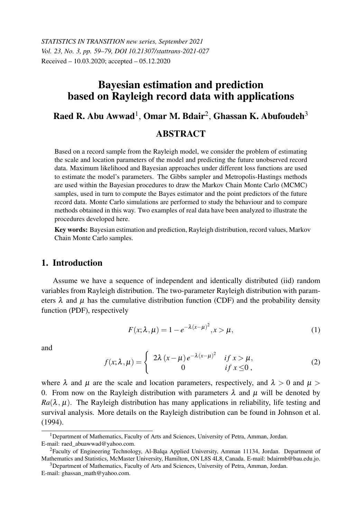*STATISTICS IN TRANSITION new series, September 2021 Vol. 23, No. 3, pp. 59–79, DOI 10.21307/stattrans-2021-027* Received – 10.03.2020; accepted – 05.12.2020

# Bayesian estimation and prediction based on Rayleigh record data with applications

# Raed R. Abu Awwad<sup>1</sup>, Omar M. Bdair<sup>2</sup>, Ghassan K. Abufoudeh<sup>3</sup>

## **ABSTRACT**

Based on a record sample from the Rayleigh model, we consider the problem of estimating the scale and location parameters of the model and predicting the future unobserved record data. Maximum likelihood and Bayesian approaches under different loss functions are used to estimate the model's parameters. The Gibbs sampler and Metropolis-Hastings methods are used within the Bayesian procedures to draw the Markov Chain Monte Carlo (MCMC) samples, used in turn to compute the Bayes estimator and the point predictors of the future record data. Monte Carlo simulations are performed to study the behaviour and to compare methods obtained in this way. Two examples of real data have been analyzed to illustrate the procedures developed here.

Key words: Bayesian estimation and prediction, Rayleigh distribution, record values, Markov Chain Monte Carlo samples.

# 1. Introduction

Assume we have a sequence of independent and identically distributed (iid) random variables from Rayleigh distribution. The two-parameter Rayleigh distribution with parameters  $\lambda$  and  $\mu$  has the cumulative distribution function (CDF) and the probability density function (PDF), respectively

$$
F(x; \lambda, \mu) = 1 - e^{-\lambda(x - \mu)^2}, x > \mu,
$$
\n(1)

and

$$
f(x; \lambda, \mu) = \begin{cases} 2\lambda (x - \mu) e^{-\lambda (x - \mu)^2} & \text{if } x > \mu, \\ 0 & \text{if } x \le 0, \end{cases}
$$
 (2)

where  $\lambda$  and  $\mu$  are the scale and location parameters, respectively, and  $\lambda > 0$  and  $\mu >$ 0. From now on the Rayleigh distribution with parameters  $\lambda$  and  $\mu$  will be denoted by  $Ra(\lambda, \mu)$ . The Rayleigh distribution has many applications in reliability, life testing and survival analysis. More details on the Rayleigh distribution can be found in Johnson et al. (1994).

<sup>3</sup>Department of Mathematics, Faculty of Arts and Sciences, University of Petra, Amman, Jordan.

E-mail: ghassan\_math@yahoo.com.

<sup>&</sup>lt;sup>1</sup>Department of Mathematics, Faculty of Arts and Sciences, University of Petra, Amman, Jordan. E-mail: raed\_abuawwad@yahoo.com.

<sup>2</sup>Faculty of Engineering Technology, Al-Balqa Applied University, Amman 11134, Jordan. Department of Mathematics and Statistics, McMaster University, Hamilton, ON L8S 4L8, Canada. E-mail: bdairmb@bau.edu.jo.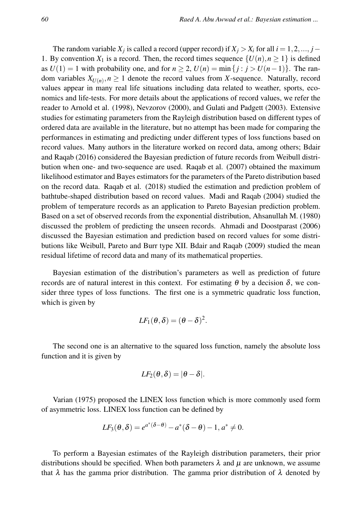The random variable  $X_j$  is called a record (upper record) if  $X_j > X_i$  for all  $i = 1, 2, ..., j -$ 1. By convention  $X_1$  is a record. Then, the record times sequence  $\{U(n), n \geq 1\}$  is defined as  $U(1) = 1$  with probability one, and for  $n \ge 2$ ,  $U(n) = \min\{j : j > U(n-1)\}\.$  The random variables  $X_{U(n)}$ ,  $n \geq 1$  denote the record values from *X*-sequence. Naturally, record values appear in many real life situations including data related to weather, sports, economics and life-tests. For more details about the applications of record values, we refer the reader to Arnold et al. (1998), Nevzorov (2000), and Gulati and Padgett (2003). Extensive studies for estimating parameters from the Rayleigh distribution based on different types of ordered data are available in the literature, but no attempt has been made for comparing the performances in estimating and predicting under different types of loss functions based on record values. Many authors in the literature worked on record data, among others; Bdair and Raqab (2016) considered the Bayesian prediction of future records from Weibull distribution when one- and two-sequence are used. Raqab et al. (2007) obtained the maximum likelihood estimator and Bayes estimators for the parameters of the Pareto distribution based on the record data. Raqab et al. (2018) studied the estimation and prediction problem of bathtube-shaped distribution based on record values. Madi and Raqab (2004) studied the problem of temperature records as an application to Pareto Bayesian prediction problem. Based on a set of observed records from the exponential distribution, Ahsanullah M. (1980) discussed the problem of predicting the unseen records. Ahmadi and Doostparast (2006) discussed the Bayesian estimation and prediction based on record values for some distributions like Weibull, Pareto and Burr type XII. Bdair and Raqab (2009) studied the mean residual lifetime of record data and many of its mathematical properties.

Bayesian estimation of the distribution's parameters as well as prediction of future records are of natural interest in this context. For estimating θ by a decision δ, we consider three types of loss functions. The first one is a symmetric quadratic loss function, which is given by

$$
LF_1(\theta, \delta) = (\theta - \delta)^2.
$$

The second one is an alternative to the squared loss function, namely the absolute loss function and it is given by

$$
LF_2(\theta, \delta)=|\theta-\delta|.
$$

Varian (1975) proposed the LINEX loss function which is more commonly used form of asymmetric loss. LINEX loss function can be defined by

$$
LF_3(\theta,\delta) = e^{a^*(\delta-\theta)} - a^*(\delta-\theta) - 1, a^* \neq 0.
$$

To perform a Bayesian estimates of the Rayleigh distribution parameters, their prior distributions should be specified. When both parameters  $\lambda$  and  $\mu$  are unknown, we assume that  $\lambda$  has the gamma prior distribution. The gamma prior distribution of  $\lambda$  denoted by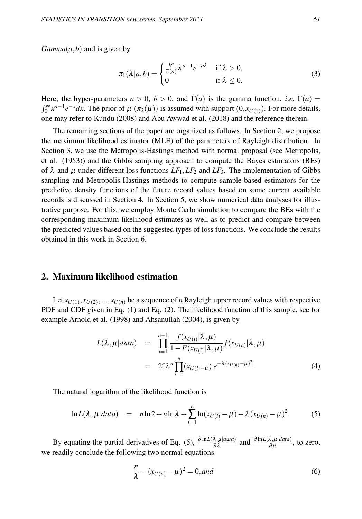*Gamma* $(a, b)$  and is given by

$$
\pi_1(\lambda|a,b) = \begin{cases} \frac{b^a}{\Gamma(a)} \lambda^{a-1} e^{-b\lambda} & \text{if } \lambda > 0, \\ 0 & \text{if } \lambda \le 0. \end{cases}
$$
 (3)

Here, the hyper-parameters  $a > 0$ ,  $b > 0$ , and  $\Gamma(a)$  is the gamma function, *i.e.*  $\Gamma(a) =$  $\int_0^\infty x^{a-1} e^{-x} dx$ . The prior of  $\mu(\pi_2(\mu))$  is assumed with support  $(0, x_{U(1)})$ . For more details, one may refer to Kundu (2008) and Abu Awwad et al. (2018) and the reference therein.

The remaining sections of the paper are organized as follows. In Section 2, we propose the maximum likelihood estimator (MLE) of the parameters of Rayleigh distribution. In Section 3, we use the Metropolis-Hastings method with normal proposal (see Metropolis, et al. (1953)) and the Gibbs sampling approach to compute the Bayes estimators (BEs) of  $\lambda$  and  $\mu$  under different loss functions  $LF_1, LF_2$  and  $LF_3$ . The implementation of Gibbs sampling and Metropolis-Hastings methods to compute sample-based estimators for the predictive density functions of the future record values based on some current available records is discussed in Section 4. In Section 5, we show numerical data analyses for illustrative purpose. For this, we employ Monte Carlo simulation to compare the BEs with the corresponding maximum likelihood estimates as well as to predict and compare between the predicted values based on the suggested types of loss functions. We conclude the results obtained in this work in Section 6.

### 2. Maximum likelihood estimation

Let  $x_{U(1)}, x_{U(2)}, ..., x_{U(n)}$  be a sequence of *n* Rayleigh upper record values with respective PDF and CDF given in Eq. (1) and Eq. (2). The likelihood function of this sample, see for example Arnold et al. (1998) and Ahsanullah (2004), is given by

$$
L(\lambda, \mu|data) = \prod_{i=1}^{n-1} \frac{f(x_{U(i)}|\lambda, \mu)}{1 - F(x_{U(i)}|\lambda, \mu)} f(x_{U(n)}|\lambda, \mu)
$$
  
=  $2^n \lambda^n \prod_{i=1}^n (x_{U(i)-\mu}) e^{-\lambda (x_{U(n)}-\mu)^2}.$  (4)

The natural logarithm of the likelihood function is

$$
\ln L(\lambda, \mu|data) = n \ln 2 + n \ln \lambda + \sum_{i=1}^{n} \ln(x_{U(i)} - \mu) - \lambda (x_{U(n)} - \mu)^2.
$$
 (5)

By equating the partial derivatives of Eq. (5),  $\frac{\partial \ln L(\lambda,\mu|data)}{\partial \lambda}$  and  $\frac{\partial \ln L(\lambda,\mu|data)}{\partial \mu}$ , to zero, we readily conclude the following two normal equations

$$
\frac{n}{\lambda} - (x_{U(n)} - \mu)^2 = 0, \text{and}
$$
 (6)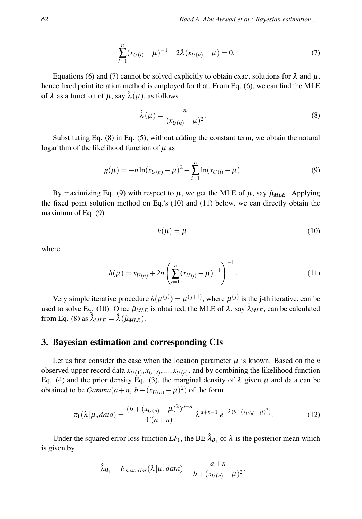$$
-\sum_{i=1}^{n} (x_{U(i)} - \mu)^{-1} - 2\lambda (x_{U(n)} - \mu) = 0.
$$
\n(7)

Equations (6) and (7) cannot be solved explicitly to obtain exact solutions for  $\lambda$  and  $\mu$ , hence fixed point iteration method is employed for that. From Eq. (6), we can find the MLE of  $\lambda$  as a function of  $\mu$ , say  $\hat{\lambda}(\mu)$ , as follows

$$
\hat{\lambda}(\mu) = \frac{n}{(x_{U(n)} - \mu)^2}.
$$
\n(8)

Substituting Eq. (8) in Eq. (5), without adding the constant term, we obtain the natural logarithm of the likelihood function of  $\mu$  as

$$
g(\mu) = -n \ln(x_{U(n)} - \mu)^2 + \sum_{i=1}^{n} \ln(x_{U(i)} - \mu).
$$
 (9)

By maximizing Eq. (9) with respect to  $\mu$ , we get the MLE of  $\mu$ , say  $\hat{\mu}_{MLE}$ . Applying the fixed point solution method on Eq.'s (10) and (11) below, we can directly obtain the maximum of Eq.  $(9)$ .

$$
h(\mu) = \mu,\tag{10}
$$

where

$$
h(\mu) = x_{U(n)} + 2n \left( \sum_{i=1}^{n} (x_{U(i)} - \mu)^{-1} \right)^{-1}.
$$
 (11)

Very simple iterative procedure  $h(\mu^{(j)}) = \mu^{(j+1)}$ , where  $\mu^{(j)}$  is the j-th iterative, can be used to solve Eq. (10). Once  $\hat{\mu}_{MLE}$  is obtained, the MLE of  $\lambda$ , say  $\hat{\lambda}_{MLE}$ , can be calculated from Eq. (8) as  $\hat{\lambda}_{MLE} = \hat{\lambda}(\hat{\mu}_{MLE}).$ 

### 3. Bayesian estimation and corresponding CIs

Let us first consider the case when the location parameter  $\mu$  is known. Based on the  $n$ observed upper record data  $x_{U(1)}, x_{U(2)}, \ldots, x_{U(n)}$ , and by combining the likelihood function Eq. (4) and the prior density Eq. (3), the marginal density of  $\lambda$  given  $\mu$  and data can be obtained to be  $Gamma(a+n, b + (x_{U(n)} - \mu)^2)$  of the form

$$
\pi_1(\lambda|\mu, data) = \frac{(b + (x_{U(n)} - \mu)^2)^{a+n}}{\Gamma(a+n)} \lambda^{a+n-1} e^{-\lambda (b + (x_{U(n)} - \mu)^2)}.
$$
 (12)

Under the squared error loss function  $LF_1$ , the BE  $\hat{\lambda}_{B_1}$  of  $\lambda$  is the posterior mean which is given by

$$
\hat{\lambda}_{B_1} = E_{posterior}(\lambda | \mu, data) = \frac{a + n}{b + (x_{U(n)} - \mu)^2}.
$$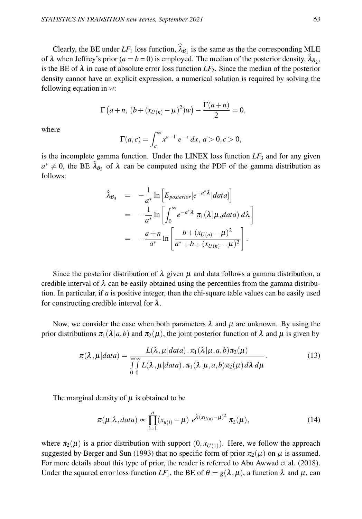Clearly, the BE under  $LF_1$  loss function,  $\lambda_{B_1}$  is the same as the the corresponding MLE of  $\lambda$  when Jeffrey's prior ( $a = b = 0$ ) is employed. The median of the posterior density,  $\hat{\lambda}_{B_2}$ , is the BE of  $\lambda$  in case of absolute error loss function  $LF_2$ . Since the median of the posterior density cannot have an explicit expression, a numerical solution is required by solving the following equation in *w*:

$$
\Gamma(a+n, (b+(x_{U(n)}-\mu)^2)w) - \frac{\Gamma(a+n)}{2} = 0,
$$

where

$$
\Gamma(a,c) = \int_c^{\infty} x^{a-1} e^{-x} dx, \ a > 0, c > 0,
$$

is the incomplete gamma function. Under the LINEX loss function  $LF<sub>3</sub>$  and for any given  $a^* \neq 0$ , the BE  $\hat{\lambda}_{B_3}$  of  $\lambda$  can be computed using the PDF of the gamma distribution as follows:

$$
\hat{\lambda}_{B_3} = -\frac{1}{a^*} \ln \left[ E_{posterior} \left[ e^{-a^* \lambda} |data \right] \right]
$$
\n
$$
= -\frac{1}{a^*} \ln \left[ \int_0^\infty e^{-a^* \lambda} \pi_1(\lambda | \mu, data) d\lambda \right]
$$
\n
$$
= -\frac{a + n}{a^*} \ln \left[ \frac{b + (x_{U(n)} - \mu)^2}{a^* + b + (x_{U(n)} - \mu)^2} \right].
$$

Since the posterior distribution of  $\lambda$  given  $\mu$  and data follows a gamma distribution, a credible interval of  $\lambda$  can be easily obtained using the percentiles from the gamma distribution. In particular, if *a* is positive integer, then the chi-square table values can be easily used for constructing credible interval for  $\lambda$ .

Now, we consider the case when both parameters  $\lambda$  and  $\mu$  are unknown. By using the prior distributions  $\pi_1(\lambda|a,b)$  and  $\pi_2(\mu)$ , the joint posterior function of  $\lambda$  and  $\mu$  is given by

$$
\pi(\lambda, \mu|data) = \frac{L(\lambda, \mu|data) \cdot \pi_1(\lambda|\mu, a, b)\pi_2(\mu)}{\int_{0}^{\infty} \int_{0}^{\infty} L(\lambda, \mu|data) \cdot \pi_1(\lambda|\mu, a, b)\pi_2(\mu) d\lambda d\mu}.
$$
\n(13)

The marginal density of  $\mu$  is obtained to be

$$
\pi(\mu|\lambda, data) \propto \prod_{i=1}^{n} (x_{u(i)} - \mu) e^{\lambda (x_{U(n)} - \mu)^2} \pi_2(\mu), \qquad (14)
$$

where  $\pi_2(\mu)$  is a prior distribution with support  $(0, x_{U(1)})$ . Here, we follow the approach suggested by Berger and Sun (1993) that no specific form of prior  $\pi_2(\mu)$  on  $\mu$  is assumed. For more details about this type of prior, the reader is referred to Abu Awwad et al. (2018). Under the squared error loss function  $LF_1$ , the BE of  $\theta = g(\lambda, \mu)$ , a function  $\lambda$  and  $\mu$ , can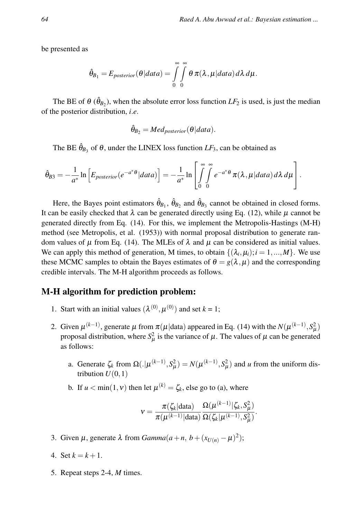be presented as

$$
\hat{\theta}_{B_1}=E_{posterior}(\theta|data)=\int\limits_{0}^{\infty}\int\limits_{0}^{\infty}\theta\,\pi(\lambda,\mu|data)\,d\lambda\,d\mu.
$$

The BE of  $\theta$  ( $\hat{\theta}_{B_2}$ ), when the absolute error loss function *LF*<sub>2</sub> is used, is just the median of the posterior distribution, *i*.*e*.

$$
\hat{\theta}_{B_2} = Med_{posterior}(\theta|data).
$$

The BE  $\hat{\theta}_{B_3}$  of  $\theta$ , under the LINEX loss function  $LF_3$ , can be obtained as

$$
\hat{\theta}_{B3} = -\frac{1}{a^*} \ln \left[ E_{posterior}(e^{-a^* \theta} | data) \right] = -\frac{1}{a^*} \ln \left[ \int_{0}^{\infty} \int_{0}^{\infty} e^{-a^* \theta} \pi(\lambda, \mu | data) d\lambda d\mu \right].
$$

Here, the Bayes point estimators  $\hat{\theta}_{B_1}$ ,  $\hat{\theta}_{B_2}$  and  $\hat{\theta}_{B_3}$  cannot be obtained in closed forms. It can be easily checked that  $\lambda$  can be generated directly using Eq. (12), while  $\mu$  cannot be generated directly from Eq. (14). For this, we implement the Metropolis-Hastings (M-H) method (see Metropolis, et al. (1953)) with normal proposal distribution to generate random values of  $\mu$  from Eq. (14). The MLEs of  $\lambda$  and  $\mu$  can be considered as initial values. We can apply this method of generation, M times, to obtain  $\{(\lambda_i, \mu_i); i = 1, ..., M\}$ . We use these MCMC samples to obtain the Bayes estimates of  $\theta = g(\lambda, \mu)$  and the corresponding credible intervals. The M-H algorithm proceeds as follows.

#### M-H algorithm for prediction problem:

- 1. Start with an initial values  $(\lambda^{(0)}, \mu^{(0)})$  and set  $k = 1$ ;
- 2. Given  $\mu^{(k-1)}$ , generate  $\mu$  from  $\pi(\mu|\text{data})$  appeared in Eq. (14) with the  $N(\mu^{(k-1)}, S_{\mu}^2)$ proposal distribution, where  $S^2_\mu$  is the variance of  $\mu$ . The values of  $\mu$  can be generated as follows:
	- a. Generate  $\zeta_k$  from  $\Omega(.) | \mu^{(k-1)}, S_\mu^2) = N(\mu^{(k-1)}, S_\mu^2)$  and *u* from the uniform distribution  $U(0,1)$
	- b. If  $u < \min(1, v)$  then let  $\mu^{(k)} = \zeta_k$ , else go to (a), where

$$
v = \frac{\pi(\zeta_k|\text{data})}{\pi(\mu^{(k-1)}|\text{data})} \frac{\Omega(\mu^{(k-1)}|\zeta_k, S_{\mu}^2)}{\Omega(\zeta_k|\mu^{(k-1)}, S_{\mu}^2)}.
$$

- 3. Given  $\mu$ , generate  $\lambda$  from  $Gamma(a+n, b + (x_{U(n)} \mu)^2)$ ;
- 4. Set  $k = k + 1$ .
- 5. Repeat steps 2-4, *M* times.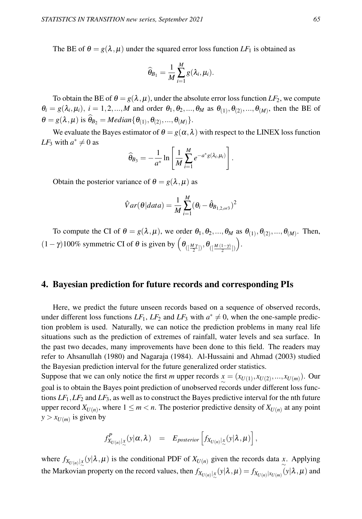The BE of  $\theta = g(\lambda, \mu)$  under the squared error loss function  $LF_1$  is obtained as

$$
\widehat{\theta}_{B_1} = \frac{1}{M} \sum_{i=1}^M g(\lambda_i, \mu_i).
$$

To obtain the BE of  $\theta = g(\lambda, \mu)$ , under the absolute error loss function  $LF_2$ , we compute  $\theta_i = g(\lambda_i, \mu_i), i = 1, 2, ..., M$  and order  $\theta_1, \theta_2, ..., \theta_M$  as  $\theta_{(1)}, \theta_{(2)}, ..., \theta_{(M)}$ , then the BE of  $\theta = g(\lambda, \mu)$  is  $\theta_{B_2} = Median{\theta_{(1)}, \theta_{(2)}, ..., \theta_{(M)}}$ .

We evaluate the Bayes estimator of  $\theta = g(\alpha, \lambda)$  with respect to the LINEX loss function *LF*<sub>3</sub> with  $a^* \neq 0$  as

$$
\widehat{\theta}_{B_3} = -\frac{1}{a^*} \ln \left[ \frac{1}{M} \sum_{i=1}^M e^{-a^* g(\lambda_i, \mu_i)} \right].
$$

Obtain the posterior variance of  $\theta = g(\lambda, \mu)$  as

$$
\hat{V}ar(\theta|data) = \frac{1}{M}\sum_{i=1}^{M}(\theta_i - \hat{\theta}_{B_{1,2,0r3}})^2
$$

To compute the CI of  $\theta = g(\lambda, \mu)$ , we order  $\theta_1, \theta_2, ..., \theta_M$  as  $\theta_{(1)}, \theta_{(2)}, ..., \theta_{(M)}$ . Then,  $(1-\gamma)100\%$  symmetric CI of  $\theta$  is given by  $\left(\theta_{([\frac{M\gamma}{2}])}, \theta_{([\frac{M(1-\gamma)}{2}])}\right)$ .

## 4. Bayesian prediction for future records and corresponding PIs

Here, we predict the future unseen records based on a sequence of observed records, under different loss functions  $LF_1$ ,  $LF_2$  and  $LF_3$  with  $a^* \neq 0$ , when the one-sample prediction problem is used. Naturally, we can notice the prediction problems in many real life situations such as the prediction of extremes of rainfall, water levels and sea surface. In the past two decades, many improvements have been done to this field. The readers may refer to Ahsanullah (1980) and Nagaraja (1984). Al-Hussaini and Ahmad (2003) studied the Bayesian prediction interval for the future generalized order statistics.

Suppose that we can only notice the first *m* upper records  $x = (x_{U(1)}, x_{U(2)}, ..., x_{U(m)})$ . Our goal is to obtain the Bayes point prediction of unobserved records under different loss functions  $LF_1$ ,  $LF_2$  and  $LF_3$ , as well as to construct the Bayes predictive interval for the nth future upper record  $X_{U(n)}$ , where  $1 \leq m < n$ . The posterior predictive density of  $X_{U(n)}$  at any point  $y > x_{U(m)}$  is given by

$$
f_{X_{U(n)}\vert_{\infty}}^P(y|\alpha,\lambda) = E_{posterior}\left[f_{X_{U(n)}\vert_{\infty}}(y|\lambda,\mu)\right],
$$

where  $f_{X_{U(n)}|x}(y|\lambda,\mu)$  is the conditional PDF of  $X_{U(n)}$  given the records data *x*. Applying the Markovian property on the record values, then  $f_{X_{U(n)}|x}(y|\lambda,\mu) = f_{X_{U(n)}|x_{U(m)}}(y|\lambda,\mu)$  and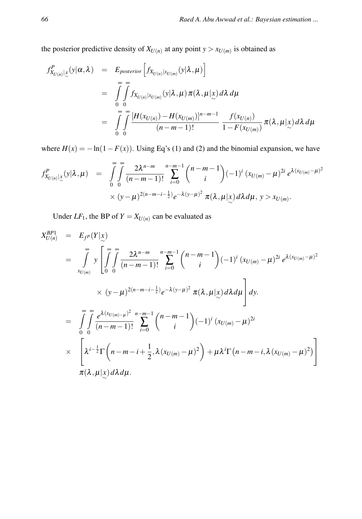the posterior predictive density of  $X_{U(n)}$  at any point  $y > x_{U(m)}$  is obtained as

$$
f_{X_{U(n)}|_{\sim}^{N}}^{P}(y|\alpha,\lambda) = E_{posterior}\left[f_{X_{U(n)}|_{X_{U(m)}}}(y|\lambda,\mu)\right]
$$
  
\n
$$
= \int_{0}^{\infty} \int_{0}^{\infty} f_{X_{U(n)}|_{X_{U(m)}}}(y|\lambda,\mu) \pi(\lambda,\mu|x) d\lambda d\mu
$$
  
\n
$$
= \int_{0}^{\infty} \int_{0}^{\infty} \frac{[H(x_{U(n)}) - H(x_{U(m)})]^{n-m-1}}{(n-m-1)!} \frac{f(x_{U(n)})}{1 - F(x_{U(m)})} \pi(\lambda,\mu|x) d\lambda d\mu
$$

where  $H(x) = -\ln(1 - F(x))$ . Using Eq's (1) and (2) and the binomial expansion, we have

$$
f_{X_{U(n)}|_{\infty}}^P(y|\lambda,\mu) = \int\limits_{0}^{\infty}\int\limits_{0}^{\infty}\frac{2\lambda^{n-m}}{(n-m-1)!}\sum_{i=0}^{n-m-1}\binom{n-m-1}{i}(-1)^i(x_{U(m)}-\mu)^{2i}e^{\lambda(x_{U(m)}-\mu)^2} \times (y-\mu)^{2(n-m-i-\frac{1}{2})}e^{-\lambda(y-\mu)^2}\pi(\lambda,\mu|x)d\lambda d\mu, y > x_{U(m)}.
$$

Under  $LF_1$ , the BP of  $Y = X_{U(n)}$  can be evaluated as

$$
X_{U(n)}^{BP1} = E_{f^{P}}(Y|\underline{x})
$$
  
\n
$$
= \int_{x_{U(m)}}^{\infty} y \left[ \int_{0}^{\infty} \int_{0}^{\infty} \frac{2\lambda^{n-m}}{(n-m-1)!} \sum_{i=0}^{n-m-1} {n-m-1 \choose i} (-1)^{i} (x_{U(m)} - \mu)^{2i} e^{\lambda(x_{U(m)} - \mu)^{2}}
$$
  
\n
$$
\times (y - \mu)^{2(n-m-i-\frac{1}{2})} e^{-\lambda(y-\mu)^{2}} \pi(\lambda, \mu | x) d\lambda d\mu \right] dy.
$$
  
\n
$$
= \int_{0}^{\infty} \int_{0}^{\infty} \frac{e^{\lambda(x_{U(m)} - \mu)^{2}}}{(n-m-1)!} \sum_{i=0}^{n-m-1} {n-m-1 \choose i} (-1)^{i} (x_{U(m)} - \mu)^{2i}
$$
  
\n
$$
\times \left[ \lambda^{i-\frac{1}{2}} \Gamma(n-m-i+\frac{1}{2}, \lambda(x_{U(m)} - \mu)^{2}) + \mu \lambda^{i} \Gamma(n-m-i, \lambda(x_{U(m)} - \mu)^{2}) \right]
$$
  
\n
$$
\pi(\lambda, \mu | x) d\lambda d\mu.
$$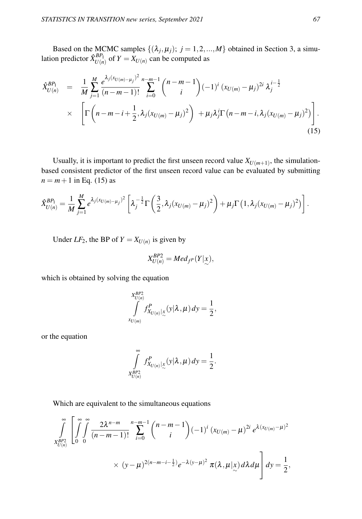Based on the MCMC samples  $\{(\lambda_j, \mu_j); j = 1, 2, ..., M\}$  obtained in Section 3, a simulation predictor  $\hat{X}_{U(n)}^{BP_1}$  of  $Y = X_{U(n)}$  can be computed as

$$
\hat{X}_{U(n)}^{BP_1} = \frac{1}{M} \sum_{j=1}^{M} \frac{e^{\lambda_j (x_{U(m)-\mu_j})^2} n^{-m-1}}{(n-m-1)!} \sum_{i=0}^{n-m-1} {n-m-1 \choose i} (-1)^i (x_{U(m)} - \mu_j)^{2i} \lambda_j^{i-\frac{1}{2}} \times \left[ \Gamma\left(n-m-i+\frac{1}{2}, \lambda_j (x_{U(m)} - \mu_j)^2\right) + \mu_j \lambda_j^i \Gamma(n-m-i, \lambda_j (x_{U(m)} - \mu_j)^2) \right].
$$
\n(15)

Usually, it is important to predict the first unseen record value  $X_{U(m+1)}$ , the simulationbased consistent predictor of the first unseen record value can be evaluated by submitting  $n = m + 1$  in Eq. (15) as

$$
\hat{X}_{U(n)}^{BP_1} = \frac{1}{M} \sum_{j=1}^{M} e^{\lambda_j (x_{U(m)-\mu_j})^2} \left[ \lambda_j^{-\frac{1}{2}} \Gamma\left(\frac{3}{2}, \lambda_j (x_{U(m)} - \mu_j)^2\right) + \mu_j \Gamma\left(1, \lambda_j (x_{U(m)} - \mu_j)^2\right) \right].
$$

Under  $LF_2$ , the BP of  $Y = X_{U(n)}$  is given by

$$
X_{U(n)}^{BP2} = Med_{f^P}(Y|\mathbf{x}),
$$

which is obtained by solving the equation

$$
\int\limits_{x_{U(n)}}^{x_{BP2}} f^P_{X_{U(n)}|x}(y|\lambda,\mu) dy = \frac{1}{2}
$$

,

or the equation

$$
\int_{X_{U(n)}^{BP_2}}^{\infty} f_{X_{U(n)}|_{\infty}}^P(y|\lambda,\mu) dy = \frac{1}{2}.
$$

Which are equivalent to the simultaneous equations

$$
\int_{X_{U(n)}^{BP_2}} \left[ \int_{0}^{\infty} \int_{0}^{\infty} \frac{2\lambda^{n-m}}{(n-m-1)!} \sum_{i=0}^{n-m-1} {n-m-1 \choose i} (-1)^i (x_{U(m)} - \mu)^{2i} e^{\lambda (x_{U(m)} - \mu)^2} \times (y - \mu)^{2(n-m-i-\frac{1}{2})} e^{-\lambda (y - \mu)^2} \pi(\lambda, \mu | x) d\lambda d\mu \right] dy = \frac{1}{2},
$$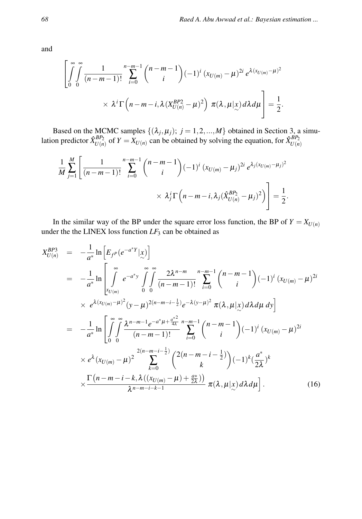and

$$
\left[\int\limits_{0}^{\infty}\int\limits_{0}^{\infty}\frac{1}{(n-m-1)!}\sum_{i=0}^{n-m-1}\binom{n-m-1}{i}(-1)^{i}(x_{U(m)}-\mu)^{2i}e^{\lambda(x_{U(m)}-\mu)^{2}}\\
\times \lambda^{i}\Gamma\left(n-m-i,\lambda(X_{U(n)}^{BP2}-\mu)^{2}\right)\pi(\lambda,\mu|\chi)d\lambda d\mu\right]=\frac{1}{2}.
$$

Based on the MCMC samples  $\{(\lambda_j, \mu_j); j = 1, 2, ..., M\}$  obtained in Section 3, a simulation predictor  $\hat{X}_{U(n)}^{BP_2}$  of  $Y = X_{U(n)}$  can be obtained by solving the equation, for  $\hat{X}_{U(n)}^{BP_2}$ 

$$
\frac{1}{M} \sum_{j=1}^{M} \left[ \frac{1}{(n-m-1)!} \sum_{i=0}^{n-m-1} {n-m-1 \choose i} (-1)^{i} (x_{U(m)} - \mu_j)^{2i} e^{\lambda_j (x_{U(m)} - \mu_j)^2} \times \lambda_j^i \Gamma(n-m-i, \lambda_j (\hat{X}_{U(n)}^{BP_2} - \mu_j)^2) \right] = \frac{1}{2}.
$$

In the similar way of the BP under the square error loss function, the BP of  $Y = X_{U(n)}$ under the the LINEX loss function *LF*<sup>3</sup> can be obtained as

$$
X_{U(n)}^{BP3} = -\frac{1}{a^*} \ln \left[ E_{f^P} (e^{-a^*Y} | \underline{x}) \right]
$$
  
\n
$$
= -\frac{1}{a^*} \ln \left[ \int_{x_{U(m)}}^{\infty} e^{-a^*y} \int_0^{\infty} \int_0^{\infty} \frac{2\lambda^{n-m}}{(n-m-1)!} \sum_{i=0}^{n-m-1} {n-m-1 \choose i} (-1)^i (x_{U(m)} - \mu)^{2i}
$$
  
\n
$$
\times e^{\lambda (x_{U(m)} - \mu)^2} (y - \mu)^{2(n-m-i-\frac{1}{2})} e^{-\lambda (y - \mu)^2} \pi(\lambda, \mu | \underline{x}) d\lambda d\mu d\mathbf{y} \right]
$$
  
\n
$$
= -\frac{1}{a^*} \ln \left[ \int_0^{\infty} \int_0^{\infty} \frac{\lambda^{n-m-1} e^{-a^* \mu + \frac{a^*^2}{4\lambda}}}{(n-m-1)!} \sum_{i=0}^{n-m-1} {n-m-1 \choose i} (-1)^i (x_{U(m)} - \mu)^{2i} \times e^{\lambda} (x_{U(m)} - \mu)^2 \sum_{k=0}^{2(n-m-i-\frac{1}{2})} {2(n-m-i-\frac{1}{2}) \choose k} (-1)^k (\frac{a^*}{2\lambda})^k \times \frac{\Gamma(n-m-i-k, \lambda)((x_{U(m)} - \mu) + \frac{a^*}{2\lambda})}{\lambda^{n-m-i-k-1}} \pi(\lambda, \mu | \underline{x}) d\lambda d\mu \right]. \tag{16}
$$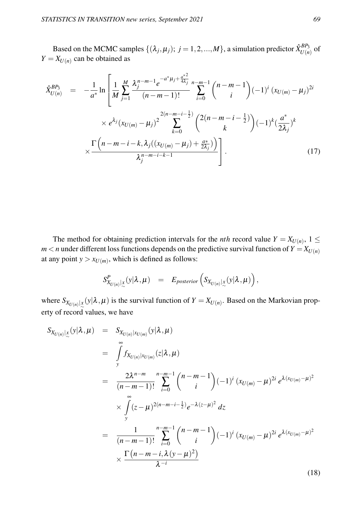Based on the MCMC samples  $\{(\lambda_j, \mu_j) ; j = 1, 2, ..., M\}$ , a simulation predictor  $\hat{X}_{U(n)}^{BP_3}$  of  $Y = X_{U(n)}$  can be obtained as

$$
\hat{X}_{U(n)}^{BP_3} = -\frac{1}{a^*} \ln \left[ \frac{1}{M} \sum_{j=1}^{M} \frac{\lambda_j^{n-m-1} e^{-a^* \mu_j + \frac{a^{*2}}{4\lambda_j} n - m - 1}}{(n-m-1)!} \sum_{i=0}^{n-m-1} {n-m-1 \choose i} (-1)^i (x_{U(m)} - \mu_j)^{2i} \times e^{\lambda_j} (x_{U(m)} - \mu_j)^2 \sum_{k=0}^{2(n-m-i-\frac{1}{2})} {2(n-m-i-\frac{1}{2}) \choose k} (-1)^k (\frac{a^*}{2\lambda_j})^k \times \frac{\Gamma(n-m-i-k, \lambda_j)((x_{U(m)} - \mu_j) + \frac{a^*}{2\lambda_j})}{\lambda_j^{n-m-i-k-1}} \right].
$$
\n(17)

The method for obtaining prediction intervals for the *nth* record value  $Y = X_{U(n)}$ ,  $1 \leq$  $m < n$  under different loss functions depends on the predictive survival function of  $Y = X_{U(n)}$ at any point  $y > x_{U(m)}$ , which is defined as follows:

$$
S_{X_{U(n)}|_{\infty}}^P(y|\lambda,\mu) = E_{posterior}\left(S_{X_{U(n)}|_{\infty}}(y|\lambda,\mu)\right),
$$

where  $S_{X_{U(n)}|X}(y|\lambda,\mu)$  is the survival function of  $Y = X_{U(n)}$ . Based on the Markovian property of record values, we have

$$
S_{X_{U(n)}|_{\infty}}(y|\lambda,\mu) = S_{X_{U(n)}|x_{U(m)}}(y|\lambda,\mu)
$$
  
\n
$$
= \int_{y}^{\infty} f_{X_{U(n)}|x_{U(m)}}(z|\lambda,\mu)
$$
  
\n
$$
= \frac{2\lambda^{n-m}}{(n-m-1)!} \sum_{i=0}^{n-m-1} {n-m-1 \choose i} (-1)^{i} (x_{U(m)} - \mu)^{2i} e^{\lambda(x_{U(m)} - \mu)^{2}}
$$
  
\n
$$
\times \int_{y}^{\infty} (z-\mu)^{2(n-m-i-\frac{1}{2})} e^{-\lambda(z-\mu)^{2}} dz
$$
  
\n
$$
= \frac{1}{(n-m-1)!} \sum_{i=0}^{n-m-1} {n-m-1 \choose i} (-1)^{i} (x_{U(m)} - \mu)^{2i} e^{\lambda(x_{U(m)} - \mu)^{2}}
$$
  
\n
$$
\times \frac{\Gamma(n-m-i,\lambda(y-\mu)^{2})}{\lambda^{-i}}
$$
\n(18)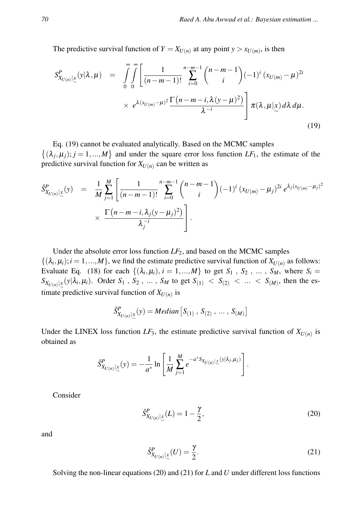The predictive survival function of  $Y = X_{U(n)}$  at any point  $y > x_{U(m)}$ , is then

$$
S_{X_{U(n)}|_{\infty}}^P(y|\lambda,\mu) = \int_0^{\infty} \int_0^{\infty} \left[ \frac{1}{(n-m-1)!} \sum_{i=0}^{n-m-1} {n-m-1 \choose i} (-1)^i (x_{U(m)} - \mu)^{2i} \times e^{\lambda(x_{U(m)} - \mu)^2} \frac{\Gamma(n-m-i,\lambda(\nu-\mu)^2)}{\lambda^{-i}} \right] \pi(\lambda,\mu|x) d\lambda d\mu.
$$
\n(19)

Eq. (19) cannot be evaluated analytically. Based on the MCMC samples  $\{(\lambda_j, \mu_j); j = 1, ..., M\}$  and under the square error loss function *LF*<sub>1</sub>, the estimate of the predictive survival function for  $X_{U(n)}$  can be written as

$$
\hat{S}_{X_{U(n)}|_{\infty}}^P(y) = \frac{1}{M} \sum_{j=1}^M \left[ \frac{1}{(n-m-1)!} \sum_{i=0}^{n-m-1} {n-m-1 \choose i} (-1)^i (x_{U(m)} - \mu_j)^{2i} e^{\lambda_j (x_{U(m)} - \mu_j)^2} \times \frac{\Gamma(n-m-i, \lambda_j (y-\mu_j)^2)}{\lambda_j^{-i}} \right].
$$

Under the absolute error loss function  $LF_2$ , and based on the MCMC samples  $\{(\lambda_i, \mu_i); i = 1, ..., M\}$ , we find the estimate predictive survival function of  $X_{U(n)}$  as follows: Evaluate Eq. (18) for each  $\{(\lambda_i, \mu_i), i = 1, ..., M\}$  to get  $S_1$ ,  $S_2$ , ...,  $S_M$ , where  $S_i$  $S_{X_{U(n)}|x}(y|\lambda_i, \mu_i)$ . Order *S*<sub>1</sub> , *S*<sub>2</sub> , ... , *S<sub>M</sub>* to get *S*<sub>(1)</sub> < *S*<sub>(2)</sub> < ... < *S*<sub>(*M*)</sub>, then the estimate predictive survival function of  $X_{U(n)}$  is

$$
\hat{S}^P_{X_{U(n)}|_{\infty}}(y) = Median \left[ S_{(1)}, S_{(2)}, \ldots, S_{(M)} \right]
$$

Under the LINEX loss function  $LF_3$ , the estimate predictive survival function of  $X_{U(n)}$  is obtained as

$$
\hat{S}_{X_{U(n)}|_{\infty}}^P(y) = -\frac{1}{a^*} \ln \left[ \frac{1}{M} \sum_{j=1}^M e^{-a^* S_{X_{U(n)}|_{\infty}}(y|\lambda_j, \mu_j)} \right]
$$

Consider

$$
\hat{S}^{P}_{X_{U(n)}|_{\sim}\sim}(L) = 1 - \frac{\gamma}{2},\tag{20}
$$

.

and

$$
\hat{S}^P_{X_{U(n)}|_{\infty}}(U) = \frac{\gamma}{2}.\tag{21}
$$

Solving the non-linear equations (20) and (21) for *L* and *U* under different loss functions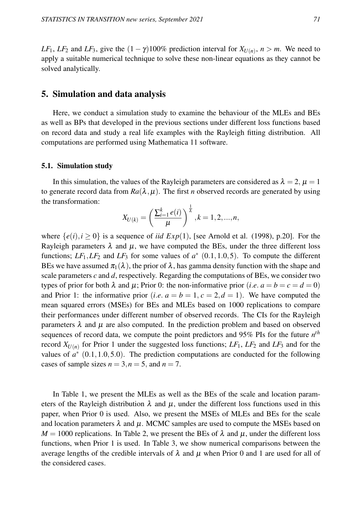*LF*<sub>1</sub>, *LF*<sub>2</sub> and *LF*<sub>3</sub>, give the  $(1 - \gamma)100\%$  prediction interval for  $X_{U(n)}$ ,  $n > m$ . We need to apply a suitable numerical technique to solve these non-linear equations as they cannot be solved analytically.

### 5. Simulation and data analysis

Here, we conduct a simulation study to examine the behaviour of the MLEs and BEs as well as BPs that developed in the previous sections under different loss functions based on record data and study a real life examples with the Rayleigh fitting distribution. All computations are performed using Mathematica 11 software.

#### 5.1. Simulation study

In this simulation, the values of the Rayleigh parameters are considered as  $\lambda = 2$ ,  $\mu = 1$ to generate record data from  $Ra(\lambda, \mu)$ . The first *n* observed records are generated by using the transformation:

$$
X_{U(k)} = \left(\frac{\sum_{i=1}^{k} e(i)}{\mu}\right)^{\frac{1}{\lambda}}, k = 1, 2, ..., n,
$$

where  $\{e(i), i \ge 0\}$  is a sequence of *iid*  $Exp(1)$ , [see Arnold et al. (1998), p.20]. For the Rayleigh parameters  $\lambda$  and  $\mu$ , we have computed the BEs, under the three different loss functions;  $LF_1, LF_2$  and  $LF_3$  for some values of  $a^*$  (0.1, 1.0, 5). To compute the different BEs we have assumed  $\pi_1(\lambda)$ , the prior of  $\lambda$ , has gamma density function with the shape and scale parameters  $c$  and  $d$ , respectively. Regarding the computations of BEs, we consider two types of prior for both  $\lambda$  and  $\mu$ ; Prior 0: the non-informative prior (*i.e.*  $a = b = c = d = 0$ ) and Prior 1: the informative prior (*i.e.*  $a = b = 1, c = 2, d = 1$ ). We have computed the mean squared errors (MSEs) for BEs and MLEs based on 1000 replications to compare their performances under different number of observed records. The CIs for the Rayleigh parameters  $\lambda$  and  $\mu$  are also computed. In the prediction problem and based on observed sequences of record data, we compute the point predictors and 95% PIs for the future *n th* record  $X_{U(n)}$  for Prior 1 under the suggested loss functions;  $LF_1$ ,  $LF_2$  and  $LF_3$  and for the values of  $a^*$  (0.1,1.0,5.0). The prediction computations are conducted for the following cases of sample sizes  $n = 3, n = 5$ , and  $n = 7$ .

In Table 1, we present the MLEs as well as the BEs of the scale and location parameters of the Rayleigh distribution  $\lambda$  and  $\mu$ , under the different loss functions used in this paper, when Prior 0 is used. Also, we present the MSEs of MLEs and BEs for the scale and location parameters  $\lambda$  and  $\mu$ . MCMC samples are used to compute the MSEs based on  $M = 1000$  replications. In Table 2, we present the BEs of  $\lambda$  and  $\mu$ , under the different loss functions, when Prior 1 is used. In Table 3, we show numerical comparisons between the average lengths of the credible intervals of  $\lambda$  and  $\mu$  when Prior 0 and 1 are used for all of the considered cases.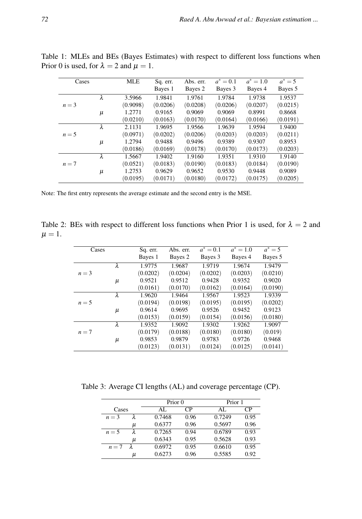| Cases   |           | <b>MLE</b> | Sq. err. | Abs. err. | $a^* = 0.1$ | $a^* = 1.0$ | $a^* = 5$ |
|---------|-----------|------------|----------|-----------|-------------|-------------|-----------|
|         |           |            | Bayes 1  | Bayes 2   | Bayes 3     | Bayes 4     | Bayes 5   |
|         | λ         | 3.5966     | 1.9841   | 1.9761    | 1.9784      | 1.9738      | 1.9537    |
| $n=3$   |           | (0.9098)   | (0.0206) | (0.0208)  | (0.0206)    | (0.0207)    | (0.0215)  |
|         | μ         | 1.2771     | 0.9165   | 0.9069    | 0.9069      | 0.8991      | 0.8668    |
|         |           | (0.0210)   | (0.0163) | (0.0170)  | (0.0164)    | (0.0166)    | (0.0191)  |
|         | $\lambda$ | 2.1131     | 1.9695   | 1.9566    | 1.9639      | 1.9594      | 1.9400    |
| $n = 5$ |           | (0.0971)   | (0.0202) | (0.0206)  | (0.0203)    | (0.0203)    | (0.0211)  |
|         | μ         | 1.2794     | 0.9488   | 0.9496    | 0.9389      | 0.9307      | 0.8953    |
|         |           | (0.0186)   | (0.0169) | (0.0178)  | (0.0170)    | (0.0173)    | (0.0203)  |
|         | λ         | 1.5667     | 1.9402   | 1.9160    | 1.9351      | 1.9310      | 1.9140    |
| $n=7$   |           | (0.0521)   | (0.0183) | (0.0190)  | (0.0183)    | (0.0184)    | (0.0190)  |
|         | μ         | 1.2753     | 0.9629   | 0.9652    | 0.9530      | 0.9448      | 0.9089    |
|         |           | (0.0195)   | (0.0171) | (0.0180)  | (0.0172)    | (0.0175)    | (0.0205)  |

Table 1: MLEs and BEs (Bayes Estimates) with respect to different loss functions when Prior 0 is used, for  $\lambda = 2$  and  $\mu = 1$ .

Note: The first entry represents the average estimate and the second entry is the MSE.

Table 2: BEs with respect to different loss functions when Prior 1 is used, for  $\lambda = 2$  and  $\mu = 1$ .

| Cases |       | Sq. err. | Abs. err. | $a^* = 0.1$ | $a^* = 1.0$ | $a^* = 5$ |
|-------|-------|----------|-----------|-------------|-------------|-----------|
|       |       | Bayes 1  | Bayes 2   | Bayes 3     | Bayes 4     | Bayes 5   |
|       | λ     | 1.9775   | 1.9687    | 1.9719      | 1.9674      | 1.9479    |
| $n=3$ |       | (0.0202) | (0.0204)  | (0.0202)    | (0.0203)    | (0.0210)  |
|       | μ     | 0.9521   | 0.9512    | 0.9428      | 0.9352      | 0.9020    |
|       |       | (0.0161) | (0.0170)  | (0.0162)    | (0.0164)    | (0.0190)  |
|       | λ     | 1.9620   | 1.9464    | 1.9567      | 1.9523      | 1.9339    |
| $n=5$ |       | (0.0194) | (0.0198)  | (0.0195)    | (0.0195)    | (0.0202)  |
|       | $\mu$ | 0.9614   | 0.9695    | 0.9526      | 0.9452      | 0.9123    |
|       |       | (0.0153) | (0.0159)  | (0.0154)    | (0.0156)    | (0.0180)  |
|       | λ     | 1.9352   | 1.9092    | 1.9302      | 1.9262      | 1.9097    |
| $n=7$ |       | (0.0179) | (0.0188)  | (0.0180)    | (0.0180)    | (0.019)   |
|       | μ     | 0.9853   | 0.9879    | 0.9783      | 0.9726      | 0.9468    |
|       |       | (0.0123) | (0.0131)  | (0.0124)    | (0.0125)    | (0.0141)  |

Table 3: Average CI lengths (AL) and coverage percentage (CP).

|         |   | Prior 0 |      | Prior 1 |      |  |
|---------|---|---------|------|---------|------|--|
| Cases   |   | AL.     | CР   | AL.     | CР   |  |
| $n = 3$ |   | 0.7468  | 0.96 | 0.7249  | 0.95 |  |
|         | μ | 0.6377  | 0.96 | 0.5697  | 0.96 |  |
| $n=5$   |   | 0.7265  | 0.94 | 0.6789  | 0.93 |  |
|         | и | 0.6343  | 0.95 | 0.5628  | 0.93 |  |
| $n=7$   | λ | 0.6972  | 0.95 | 0.6610  | 0.95 |  |
|         | μ | 0.6273  | 0.96 | 0.5585  | 0.92 |  |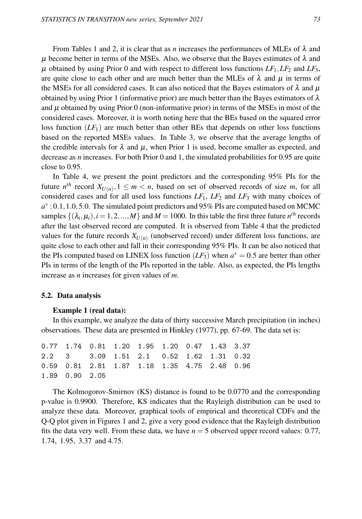From Tables 1 and 2, it is clear that as *n* increases the performances of MLEs of  $\lambda$  and  $\mu$  become better in terms of the MSEs. Also, we observe that the Bayes estimates of  $\lambda$  and  $\mu$  obtained by using Prior 0 and with respect to different loss functions  $LF_1, LF_2$  and  $LF_3$ , are quite close to each other and are much better than the MLEs of  $\lambda$  and  $\mu$  in terms of the MSEs for all considered cases. It can also noticed that the Bayes estimators of  $\lambda$  and  $\mu$ obtained by using Prior 1 (informative prior) are much better than the Bayes estimators of  $\lambda$ and  $\mu$  obtained by using Prior 0 (non-informative prior) in terms of the MSEs in most of the considered cases. Moreover, it is worth noting here that the BEs based on the squared error loss function  $(LF_1)$  are much better than other BEs that depends on other loss functions based on the reported MSEs values. In Table 3, we observe that the average lengths of the credible intervals for  $\lambda$  and  $\mu$ , when Prior 1 is used, become smaller as expected, and decrease as *n* increases. For both Prior 0 and 1, the simulated probabilities for 0.95 are quite close to 0.95.

In Table 4, we present the point predictors and the corresponding 95% PIs for the future  $n^{th}$  record  $X_{U(n)}$ ,  $1 \leq m < n$ , based on set of observed records of size *m*, for all considered cases and for all used loss functions  $LF_1$ ,  $LF_2$  and  $LF_3$  with many choices of a<sup>\*</sup>: 0.1, 1.0, 5.0. The simulated point predictors and 95% PIs are computed based on MCMC samples  $\{(\lambda_i, \mu_i), i = 1, 2, ..., M\}$  and  $M = 1000$ . In this table the first three future  $n^{th}$  records after the last observed record are computed. It is observed from Table 4 that the predicted values for the future records  $X_{U(n)}$  (unobserved record) under different loss functions, are quite close to each other and fall in their corresponding 95% PIs. It can be also noticed that the PIs computed based on LINEX loss function  $(LF_3)$  when  $a^* = 0.5$  are better than other PIs in terms of the length of the PIs reported in the table. Also, as expected, the PIs lengths increase as *n* increases for given values of *m*.

#### 5.2. Data analysis

#### Example 1 (real data):

In this example, we analyze the data of thirty successive March precipitation (in inches) observations. These data are presented in Hinkley (1977), pp. 67-69. The data set is:

0.77 1.74 0.81 1.20 1.95 1.20 0.47 1.43 3.37 2.2 3 3.09 1.51 2.1 0.52 1.62 1.31 0.32 0.59 0.81 2.81 1.87 1.18 1.35 4.75 2.48 0.96 1.89 0.90 2.05

The Kolmogorov-Smirnov (KS) distance is found to be 0.0770 and the corresponding p-value is 0.9900. Therefore, KS indicates that the Rayleigh distribution can be used to analyze these data. Moreover, graphical tools of empirical and theoretical CDFs and the Q-Q plot given in Figures 1 and 2, give a very good evidence that the Rayleigh distribution fits the data very well. From these data, we have  $n = 5$  observed upper record values: 0.77, 1.74, 1.95, 3.37 and 4.75.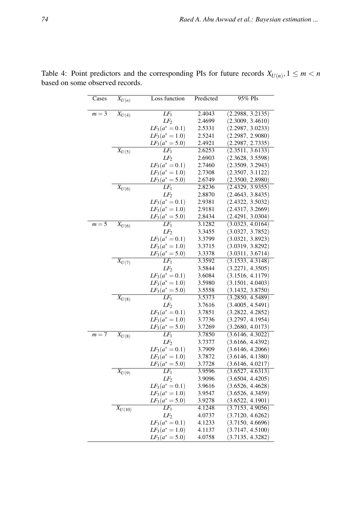| Cases   | $\overline{X}_{U(n)}$  | Loss function                          | Predicted        | 95% PIs                              |
|---------|------------------------|----------------------------------------|------------------|--------------------------------------|
| $m=3$   | $X_{U(4)}$             | LF <sub>1</sub>                        | 2.4043           | (2.2988, 3.2135)                     |
|         |                        | LF <sub>2</sub>                        | 2.4699           | (2.3009, 3.4610)                     |
|         |                        | $LF_3(a^* = 0.1)$                      | 2.5331           | (2.2987, 3.0233)                     |
|         |                        | $LF_3(a^* = 1.0)$                      | 2.5241           | (2.2987, 2.9080)                     |
|         |                        | $LF_3(a^* = 5.0)$                      | 2.4921           | (2.2987, 2.7335)                     |
|         | $\overline{X_{U(5)}}$  | $LF_1$                                 | 2.6253           | (2.3511, 3.6133)                     |
|         |                        | LF <sub>2</sub>                        | 2.6903           | (2.3628, 3.5598)                     |
|         |                        | $LF_3(a^* = 0.1)$                      | 2.7460           | (2.3509, 3.2943)                     |
|         |                        | $LF_3(a^* = 1.0)$                      | 2.7308           | (2.3507, 3.1122)                     |
|         |                        | $LF_3(a^* = 5.0)$                      | 2.6749           | (2.3500, 2.8980)                     |
|         | $\overline{X}_{U(6)}$  | $LF_1$                                 | 2.8236           | (2.4329, 3.9355)                     |
|         |                        | $LF_2$                                 | 2.8870           | (2.4643, 3.8435)                     |
|         |                        | $LF_3(a^* = 0.1)$                      | 2.9381           | (2.4322, 3.5032)                     |
|         |                        | $LF_3(a^* = 1.0)$                      | 2.9181           | (2.4317, 3.2669)                     |
|         |                        | $LF_3(a^* = 5.0)$                      | 2.8434           | (2.4291, 3.0304)                     |
| $m = 5$ | $X_{U(6)}$             | $LF_1$                                 | 3.1282           | (3.0323, 4.0164)                     |
|         |                        | $LF_2$                                 | 3.3455           | (3.0327, 3.7852)                     |
|         |                        | $LF_3(a^* = 0.1)$                      | 3.3799           | (3.0321, 3.8923)                     |
|         |                        | $LF_3(a^* = 1.0)$<br>$LF_3(a^* = 5.0)$ | 3.3715<br>3.3378 | (3.0319, 3.8292)<br>(3.0311, 3.6714) |
|         | $\overline{X_{U(7)}}$  | $LF_1$                                 | 3.3592           | (3.1533, 4.3148)                     |
|         |                        | $LF_2$                                 | 3.5844           | (3.2271, 4.3505)                     |
|         |                        | $LF_3(a^* = 0.1)$                      | 3.6084           | (3.1516, 4.1179)                     |
|         |                        | $LF_3(a^* = 1.0)$                      | 3.5980           | (3.1501, 4.0403)                     |
|         |                        | $LF_3(a^* = 5.0)$                      | 3.5558           | (3.1432, 3.8750)                     |
|         | $\overline{X_{U(8)}}$  | $LF_1$                                 | 3.5373           | (3.2850, 4.5489)                     |
|         |                        | $LF_2$                                 | 3.7616           | (3.4005, 4.5491)                     |
|         |                        | $LF_3(a^* = 0.1)$                      | 3.7851           | (3.2822, 4.2852)                     |
|         |                        | $LF_3(a^* = 1.0)$                      | 3.7736           | (3.2797, 4.1954)                     |
|         |                        | $LF_3(a^* = 5.0)$                      | 3.7269           | (3.2680, 4.0173)                     |
| $m=7$   | $X_{U(8)}$             | $LF_1$                                 | 3.7850           | (3.6146, 4.3022)                     |
|         |                        | $LF_2$                                 | 3.7377           | (3.6166, 4.4392)                     |
|         |                        | $LF_3(a^* = 0.1)$                      | 3.7909           | (3.6146, 4.2066)                     |
|         |                        | $LF_3(a^* = 1.0)$                      | 3.7872           | (3.6146, 4.1380)                     |
|         |                        | $LF_3(a^* = 5.0)$                      | 3.7728           | (3.6146, 4.0217)                     |
|         | $\overline{X_{U(9)}}$  | $LF_1$                                 | 3.9596           | (3.6527, 4.6313)                     |
|         |                        | LF <sub>2</sub>                        | 3.9096           | (3.6504, 4.4205)                     |
|         |                        | $LF_3(a^* = 0.1)$                      | 3.9616           | (3.6526, 4.4628)                     |
|         |                        | $LF_3(a^* = 1.0)$                      | 3.9547           | (3.6526, 4.3459)                     |
|         |                        | $LF_3(a^* = 5.0)$<br>$LF_1$            | 3.9278<br>4.1248 | (3.6522, 4.1901)<br>(3.7153, 4.9056) |
|         | $\overline{X_{U(10)}}$ | LF <sub>2</sub>                        | 4.0737           | (3.7120, 4.6262)                     |
|         |                        | $LF_3(a^* = 0.1)$                      | 4.1233           | (3.7150, 4.6696)                     |
|         |                        | $LF_3(a^* = 1.0)$                      | 4.1137           | (3.7147, 4.5100)                     |
|         |                        | $LF_3(a^* = 5.0)$                      | 4.0758           | (3.7135, 4.3282)                     |
|         |                        |                                        |                  |                                      |

Table 4: Point predictors and the corresponding PIs for future records  $X_{U(n)}$ ,  $1 \le m < n$ based on some observed records.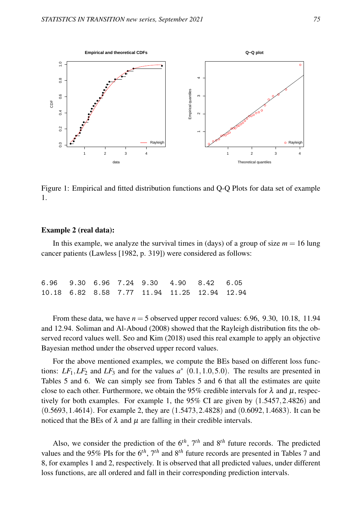

Figure 1: Empirical and fitted distribution functions and Q-Q Plots for data set of example 1.

#### Example 2 (real data):

In this example, we analyze the survival times in (days) of a group of size  $m = 16$  lung cancer patients (Lawless [1982, p. 319]) were considered as follows:

|  |  | 6.96 9.30 6.96 7.24 9.30 4.90 8.42 6.05      |  |  |
|--|--|----------------------------------------------|--|--|
|  |  | 10.18 6.82 8.58 7.77 11.94 11.25 12.94 12.94 |  |  |

From these data, we have  $n = 5$  observed upper record values: 6.96, 9.30, 10.18, 11.94 and 12.94. Soliman and Al-Aboud (2008) showed that the Rayleigh distribution fits the observed record values well. Seo and Kim (2018) used this real example to apply an objective Bayesian method under the observed upper record values.

For the above mentioned examples, we compute the BEs based on different loss functions:  $LF_1, LF_2$  and  $LF_3$  and for the values  $a^*$  (0.1,1.0,5.0). The results are presented in Tables 5 and 6. We can simply see from Tables 5 and 6 that all the estimates are quite close to each other. Furthermore, we obtain the 95% credible intervals for  $\lambda$  and  $\mu$ , respectively for both examples. For example 1, the 95% CI are given by (1.5457,2.4826) and (0.5693,1.4614). For example 2, they are (1.5473,2.4828) and (0.6092,1.4683). It can be noticed that the BEs of  $\lambda$  and  $\mu$  are falling in their credible intervals.

Also, we consider the prediction of the  $6<sup>th</sup>$ ,  $7<sup>th</sup>$  and  $8<sup>th</sup>$  future records. The predicted values and the 95% PIs for the 6*th*, 7*th* and 8*th* future records are presented in Tables 7 and 8, for examples 1 and 2, respectively. It is observed that all predicted values, under different loss functions, are all ordered and fall in their corresponding prediction intervals.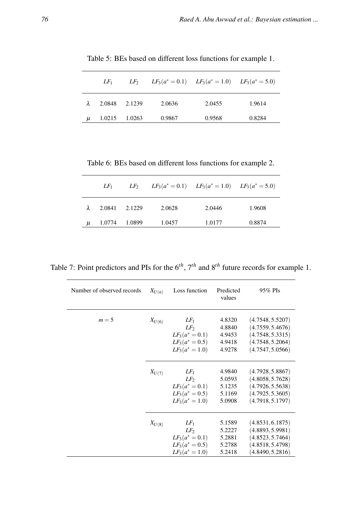|           | $LF_1$ | $LF_2$ |        | $LF_3(a^* = 0.1)$ $LF_3(a^* = 1.0)$ $LF_3(a^* = 5.0)$ |        |
|-----------|--------|--------|--------|-------------------------------------------------------|--------|
| $\lambda$ | 2.0848 | 2.1239 | 2.0636 | 2.0455                                                | 1.9614 |
| $\mu$     | 1.0215 | 1.0263 | 0.9867 | 0.9568                                                | 0.8284 |

Table 5: BEs based on different loss functions for example 1.

Table 6: BEs based on different loss functions for example 2.

|       | $LF_1$        | $LF_2$ |        | $LF_3(a^* = 0.1)$ $LF_3(a^* = 1.0)$ $LF_3(a^* = 5.0)$ |        |
|-------|---------------|--------|--------|-------------------------------------------------------|--------|
| λ     | 2.0841 2.1229 |        | 2.0628 | 2.0446                                                | 1.9608 |
| $\mu$ | 1.0774        | 1.0899 | 1.0457 | 1.0177                                                | 0.8874 |

Table 7: Point predictors and PIs for the 6*th*, 7*th* and 8*th* future records for example 1.

| Number of observed records | $X_{U(n)}$ | Loss function                                                                   | Predicted<br>values                            | 95% PIs                                                                                          |
|----------------------------|------------|---------------------------------------------------------------------------------|------------------------------------------------|--------------------------------------------------------------------------------------------------|
| $m=5$                      | $X_{U(6)}$ | $LF_1$<br>$LF_{2}$<br>$LF_3(a^*=0.1)$<br>$LF_3(a^* = 0.5)$<br>$LF_3(a^* = 1.0)$ | 4.8320<br>4.8840<br>4.9453<br>4.9418<br>4.9278 | (4.7548, 5.5207)<br>(4.7559, 5.4676)<br>(4.7548, 5.3315)<br>(4.7548, 5.2064)<br>(4.7547, 5.0566) |
|                            | $X_{U(7)}$ | $LF_1$<br>$LF_{2}$<br>$LF_3(a^*=0.1)$<br>$LF_3(a^* = 0.5)$<br>$LF_3(a^* = 1.0)$ | 4.9840<br>5.0593<br>5.1235<br>5.1169<br>5.0908 | (4.7928, 5.8867)<br>(4.8058, 5.7628)<br>(4.7926, 5.5638)<br>(4.7925, 5.3605)<br>(4.7918, 5.1797) |
|                            | $X_{U(8)}$ | $LF_1$<br>$LF_2$<br>$LF_3(a^*=0.1)$<br>$LF_3(a^* = 0.5)$<br>$LF_3(a^* = 1.0)$   | 5.1589<br>5.2227<br>5.2881<br>5.2788<br>5.2418 | (4.8531, 6.1875)<br>(4.8893, 5.9981)<br>(4.8523, 5.7464)<br>(4.8518, 5.4798)<br>(4.8490, 5.2816) |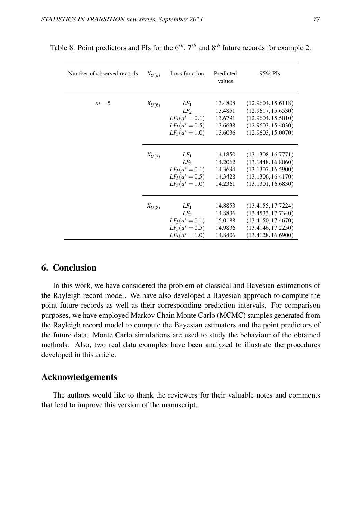| Number of observed records | $X_{U(n)}$ | Loss function                                                                     | Predicted<br>values                                 | 95% PIs                                                                                                    |
|----------------------------|------------|-----------------------------------------------------------------------------------|-----------------------------------------------------|------------------------------------------------------------------------------------------------------------|
| $m=5$                      | $X_{U(6)}$ | $LF_1$<br>$LF_2$<br>$LF_3(a^* = 0.1)$<br>$LF_3(a^* = 0.5)$<br>$LF_3(a^* = 1.0)$   | 13.4808<br>13.4851<br>13.6791<br>13.6638<br>13.6036 | (12.9604, 15.6118)<br>(12.9617, 15.6530)<br>(12.9604, 15.5010)<br>(12.9603, 15.4030)<br>(12.9603, 15.0070) |
|                            | $X_{U(7)}$ | $LF_1$<br>$LF_{2}$<br>$LF_3(a^* = 0.1)$<br>$LF_3(a^* = 0.5)$<br>$LF_3(a^* = 1.0)$ | 14.1850<br>14.2062<br>14.3694<br>14.3428<br>14.2361 | (13.1308, 16.7771)<br>(13.1448, 16.8060)<br>(13.1307, 16.5900)<br>(13.1306, 16.4170)<br>(13.1301, 16.6830) |
|                            | $X_{U(8)}$ | $LF_1$<br>$LF_2$<br>$LF_3(a^*=0.1)$<br>$LF_3(a^* = 0.5)$<br>$LF_3(a^* = 1.0)$     | 14.8853<br>14.8836<br>15.0188<br>14.9836<br>14.8406 | (13.4155, 17.7224)<br>(13.4533, 17.7340)<br>(13.4150, 17.4670)<br>(13.4146, 17.2250)<br>(13.4128, 16.6900) |

Table 8: Point predictors and PIs for the 6*th*, 7*th* and 8*th* future records for example 2.

## 6. Conclusion

In this work, we have considered the problem of classical and Bayesian estimations of the Rayleigh record model. We have also developed a Bayesian approach to compute the point future records as well as their corresponding prediction intervals. For comparison purposes, we have employed Markov Chain Monte Carlo (MCMC) samples generated from the Rayleigh record model to compute the Bayesian estimators and the point predictors of the future data. Monte Carlo simulations are used to study the behaviour of the obtained methods. Also, two real data examples have been analyzed to illustrate the procedures developed in this article.

## Acknowledgements

The authors would like to thank the reviewers for their valuable notes and comments that lead to improve this version of the manuscript.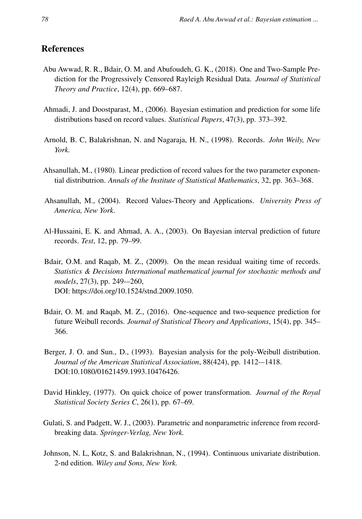# References

- Abu Awwad, R. R., Bdair, O. M. and Abufoudeh, G. K., (2018). One and Two-Sample Prediction for the Progressively Censored Rayleigh Residual Data. *Journal of Statistical Theory and Practice*, 12(4), pp. 669–687.
- Ahmadi, J. and Doostparast, M., (2006). Bayesian estimation and prediction for some life distributions based on record values. *Statistical Papers*, 47(3), pp. 373–392.
- Arnold, B. C, Balakrishnan, N. and Nagaraja, H. N., (1998). Records. *John Weily, New York.*
- Ahsanullah, M., (1980). Linear prediction of record values for the two parameter exponential distributrion. *Annals of the Institute of Statistical Mathematics*, 32, pp. 363–368.
- Ahsanullah, M., (2004). Record Values-Theory and Applications. *University Press of America, New York*.
- Al-Hussaini, E. K. and Ahmad, A. A., (2003). On Bayesian interval prediction of future records. *Test*, 12, pp. 79–99.
- Bdair, O.M. and Raqab, M. Z., (2009). On the mean residual waiting time of records. *Statistics & Decisions International mathematical journal for stochastic methods and models*, 27(3), pp. 249-–260, DOI: https://doi.org/10.1524/stnd.2009.1050.
- Bdair, O. M. and Raqab, M. Z., (2016). One-sequence and two-sequence prediction for future Weibull records. *Journal of Statistical Theory and Applications*, 15(4), pp. 345– 366.
- Berger, J. O. and Sun., D., (1993). Bayesian analysis for the poly-Weibull distribution. *Journal of the American Statistical Association*, 88(424), pp. 1412-–1418. DOI:10.1080/01621459.1993.10476426.
- David Hinkley, (1977). On quick choice of power transformation. *Journal of the Royal Statistical Society Series C*, 26(1), pp. 67–69.
- Gulati, S. and Padgett, W. J., (2003). Parametric and nonparametric inference from recordbreaking data. *Springer-Verlag, New York.*
- Johnson, N. L, Kotz, S. and Balakrishnan, N., (1994). Continuous univariate distribution. 2-nd edition. *Wiley and Sons, New York.*